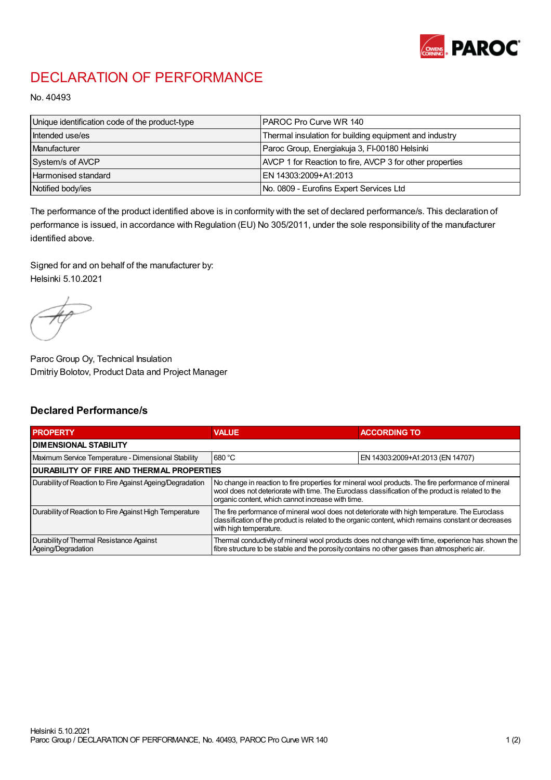

## DECLARATION OF PERFORMANCE

No. 40493

| Unique identification code of the product-type | IPAROC Pro Curve WR 140                                  |
|------------------------------------------------|----------------------------------------------------------|
| Intended use/es                                | Thermal insulation for building equipment and industry   |
| Manufacturer                                   | Paroc Group, Energiakuja 3, FI-00180 Helsinki            |
| System/s of AVCP                               | AVCP 1 for Reaction to fire, AVCP 3 for other properties |
| Harmonised standard                            | IEN 14303:2009+A1:2013                                   |
| Notified body/ies                              | No. 0809 - Eurofins Expert Services Ltd                  |

The performance of the product identified above is in conformity with the set of declared performance/s. This declaration of performance is issued, in accordance with Regulation (EU) No 305/2011, under the sole responsibility of the manufacturer identified above.

Signed for and on behalf of the manufacturer by: Helsinki 5.10.2021

Paroc Group Oy, Technical Insulation Dmitriy Bolotov, Product Data and Project Manager

## Declared Performance/s

| <b>PROPERTY</b>                                                | <b>VALUE</b>                                                                                                                                                                                                                                                   | <b>ACCORDING TO.</b>             |  |
|----------------------------------------------------------------|----------------------------------------------------------------------------------------------------------------------------------------------------------------------------------------------------------------------------------------------------------------|----------------------------------|--|
| <b>DIMENSIONAL STABILITY</b>                                   |                                                                                                                                                                                                                                                                |                                  |  |
| Maximum Service Temperature - Dimensional Stability            | 680 °C                                                                                                                                                                                                                                                         | EN 14303:2009+A1:2013 (EN 14707) |  |
| <b>DURABILITY OF FIRE AND THERMAL PROPERTIES</b>               |                                                                                                                                                                                                                                                                |                                  |  |
| Durability of Reaction to Fire Against Ageing/Degradation      | No change in reaction to fire properties for mineral wool products. The fire performance of mineral<br>wool does not deteriorate with time. The Euroclass classification of the product is related to the<br>organic content, which cannot increase with time. |                                  |  |
| Durability of Reaction to Fire Against High Temperature        | The fire performance of mineral wool does not deteriorate with high temperature. The Euroclass<br>classification of the product is related to the organic content, which remains constant or decreases<br>with high temperature.                               |                                  |  |
| Durability of Thermal Resistance Against<br>Ageing/Degradation | Thermal conductivity of mineral wool products does not change with time, experience has shown the<br>fibre structure to be stable and the porosity contains no other gases than atmospheric air.                                                               |                                  |  |